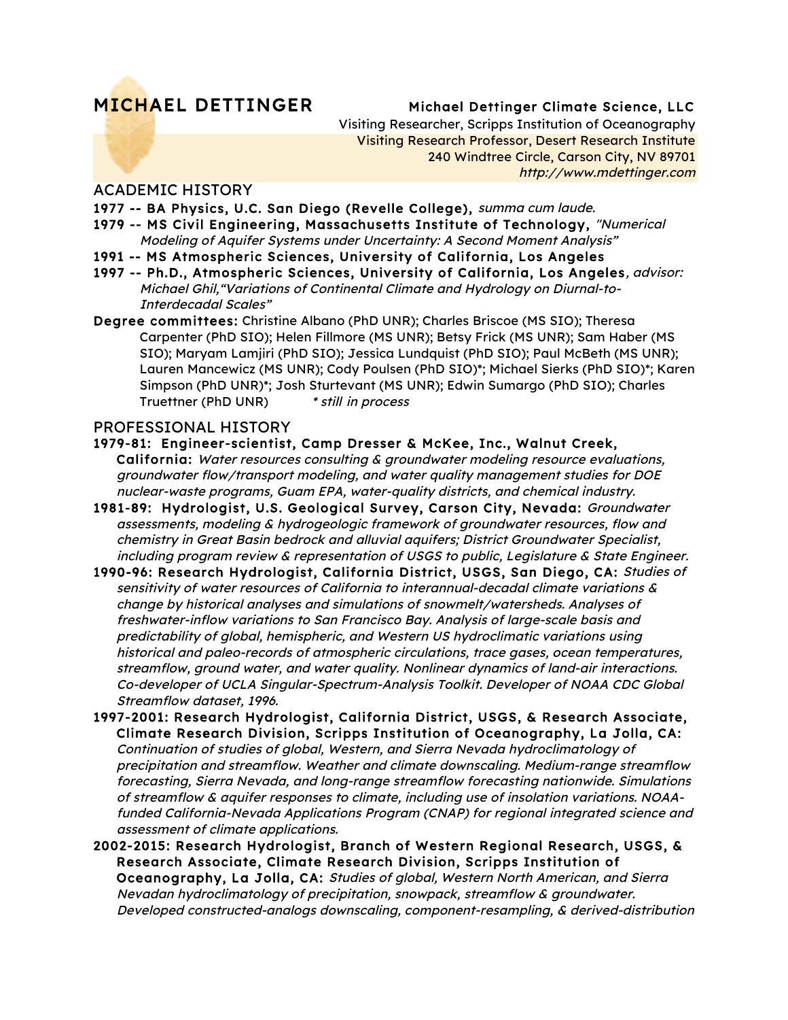# MICHAEL DETTINGER Michael Dettinger Climate Science, LLC

Visiting Researcher, Scripps Institution of Oceanography Visiting Research Professor, Desert Research Institute 240 Windtree Circle, Carson City, NV 89701 http://www.mdettinger.com

### ACADEMIC HISTORY

- 1977 -- BA Physics, U.C. San Diego (Revelle College), summa cum laude.
- 1979 -- MS Civil Engineering, Massachusetts Institute of Technology, "Numerical Modeling of Aquifer Systems under Uncertainty: A Second Moment Analysis"
- 1991 -- MS Atmospheric Sciences, University of California, Los Angeles
- 1997 -- Ph.D., Atmospheric Sciences, University of California, Los Angeles, advisor: Michael Ghil,"Variations of Continental Climate and Hydrology on Diurnal-to-Interdecadal Scales"
- Degree committees: Christine Albano (PhD UNR); Charles Briscoe (MS SIO); Theresa Carpenter (PhD SIO); Helen Fillmore (MS UNR); Betsy Frick (MS UNR); Sam Haber (MS SIO); Maryam Lamjiri (PhD SIO); Jessica Lundquist (PhD SIO); Paul McBeth (MS UNR); Lauren Mancewicz (MS UNR); Cody Poulsen (PhD SIO)\*; Michael Sierks (PhD SIO)\*; Karen Simpson (PhD UNR)\*; Josh Sturtevant (MS UNR); Edwin Sumargo (PhD SIO); Charles Truettner (PhD UNR) \* still in process

### PROFESSIONAL HISTORY

#### 1979-81: Engineer-scientist, Camp Dresser & McKee, Inc., Walnut Creek,

California: Water resources consulting & groundwater modeling resource evaluations, groundwater flow/transport modeling, and water quality management studies for DOE nuclear-waste programs, Guam EPA, water-quality districts, and chemical industry.

- 1981-89: Hydrologist, U.S. Geological Survey, Carson City, Nevada: Groundwater assessments, modeling & hydrogeologic framework of groundwater resources, flow and chemistry in Great Basin bedrock and alluvial aquifers; District Groundwater Specialist, including program review & representation of USGS to public, Legislature & State Engineer.
- 1990-96: Research Hydrologist, California District, USGS, San Diego, CA: Studies of sensitivity of water resources of California to interannual-decadal climate variations & change by historical analyses and simulations of snowmelt/watersheds. Analyses of freshwater-inflow variations to San Francisco Bay. Analysis of large-scale basis and predictability of global, hemispheric, and Western US hydroclimatic variations using historical and paleo-records of atmospheric circulations, trace gases, ocean temperatures, streamflow, ground water, and water quality. Nonlinear dynamics of land-air interactions. Co-developer of UCLA Singular-Spectrum-Analysis Toolkit. Developer of NOAA CDC Global Streamflow dataset, 1996.
- 1997-2001: Research Hydrologist, California District, USGS, & Research Associate, Climate Research Division, Scripps Institution of Oceanography, La Jolla, CA: Continuation of studies of global, Western, and Sierra Nevada hydroclimatology of precipitation and streamflow. Weather and climate downscaling. Medium-range streamflow forecasting, Sierra Nevada, and long-range streamflow forecasting nationwide. Simulations of streamflow & aquifer responses to climate, including use of insolation variations. NOAAfunded California-Nevada Applications Program (CNAP) for regional integrated science and assessment of climate applications.
- 2002-2015: Research Hydrologist, Branch of Western Regional Research, USGS, & Research Associate, Climate Research Division, Scripps Institution of Oceanography, La Jolla, CA: Studies of global, Western North American, and Sierra Nevadan hydroclimatology of precipitation, snowpack, streamflow & groundwater. Developed constructed-analogs downscaling, component-resampling, & derived-distribution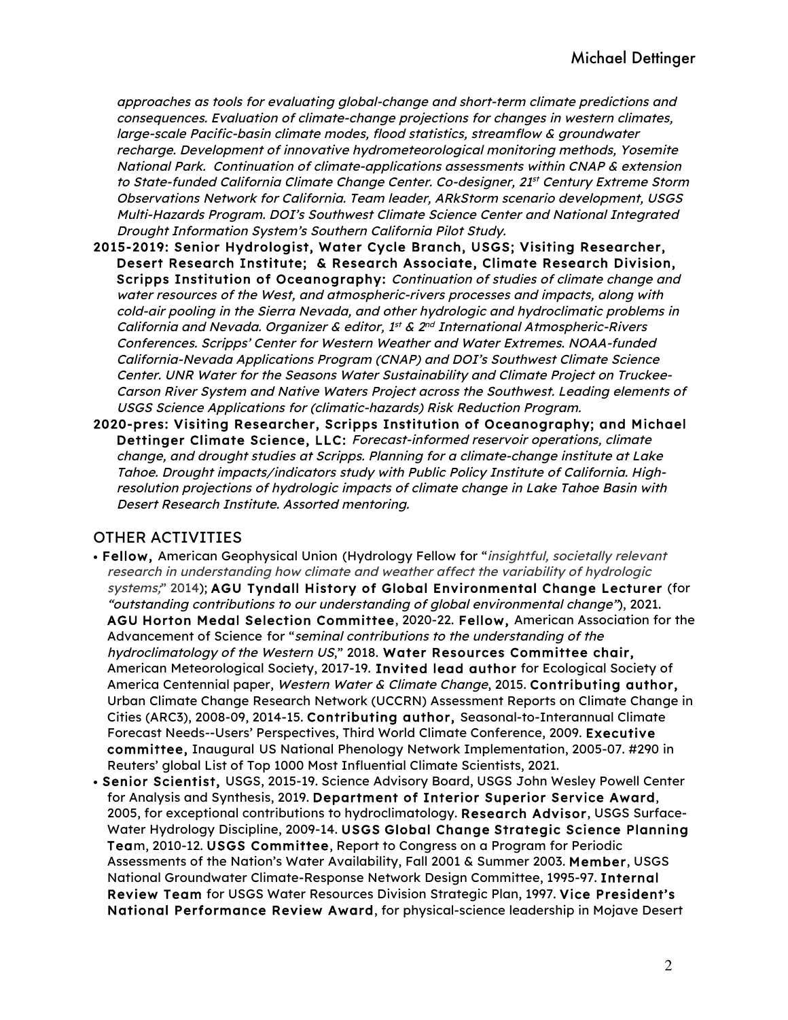approaches as tools for evaluating global-change and short-term climate predictions and consequences. Evaluation of climate-change projections for changes in western climates, large-scale Pacific-basin climate modes, flood statistics, streamflow & groundwater recharge. Development of innovative hydrometeorological monitoring methods, Yosemite National Park. Continuation of climate-applications assessments within CNAP & extension to State-funded California Climate Change Center. Co-designer, 21<sup>st</sup> Century Extreme Storm Observations Network for California. Team leader, ARkStorm scenario development, USGS Multi-Hazards Program. DOI's Southwest Climate Science Center and National Integrated Drought Information System's Southern California Pilot Study.

- 2015-2019: Senior Hydrologist, Water Cycle Branch, USGS; Visiting Researcher, Desert Research Institute; & Research Associate, Climate Research Division, Scripps Institution of Oceanography: Continuation of studies of climate change and water resources of the West, and atmospheric-rivers processes and impacts, along with cold-air pooling in the Sierra Nevada, and other hydrologic and hydroclimatic problems in California and Nevada. Organizer & editor,  $1^{st}$  &  $2^{nd}$  International Atmospheric-Rivers Conferences. Scripps' Center for Western Weather and Water Extremes. NOAA-funded California-Nevada Applications Program (CNAP) and DOI's Southwest Climate Science Center. UNR Water for the Seasons Water Sustainability and Climate Project on Truckee-Carson River System and Native Waters Project across the Southwest. Leading elements of USGS Science Applications for (climatic-hazards) Risk Reduction Program.
- 2020-pres: Visiting Researcher, Scripps Institution of Oceanography; and Michael Dettinger Climate Science, LLC: Forecast-informed reservoir operations, climate change, and drought studies at Scripps. Planning for a climate-change institute at Lake Tahoe. Drought impacts/indicators study with Public Policy Institute of California. Highresolution projections of hydrologic impacts of climate change in Lake Tahoe Basin with Desert Research Institute. Assorted mentoring.

## OTHER ACTIVITIES

- Fellow, American Geophysical Union (Hydrology Fellow for "insightful, societally relevant research in understanding how climate and weather affect the variability of hydrologic systems;" 2014); AGU Tyndall History of Global Environmental Change Lecturer (for "outstanding contributions to our understanding of global environmental change"), 2021. AGU Horton Medal Selection Committee, 2020-22. Fellow, American Association for the Advancement of Science for "seminal contributions to the understanding of the hydroclimatology of the Western US," 2018. Water Resources Committee chair, American Meteorological Society, 2017-19. Invited lead author for Ecological Society of America Centennial paper, Western Water & Climate Change, 2015. Contributing author, Urban Climate Change Research Network (UCCRN) Assessment Reports on Climate Change in Cities (ARC3), 2008-09, 2014-15. Contributing author, Seasonal-to-Interannual Climate Forecast Needs--Users' Perspectives, Third World Climate Conference, 2009. Executive committee, Inaugural US National Phenology Network Implementation, 2005-07. #290 in Reuters' global List of Top 1000 Most Influential Climate Scientists, 2021.
- Senior Scientist, USGS, 2015-19. Science Advisory Board, USGS John Wesley Powell Center for Analysis and Synthesis, 2019. Department of Interior Superior Service Award, 2005, for exceptional contributions to hydroclimatology. Research Advisor, USGS Surface-Water Hydrology Discipline, 2009-14. USGS Global Change Strategic Science Planning Team, 2010-12. USGS Committee, Report to Congress on a Program for Periodic Assessments of the Nation's Water Availability, Fall 2001 & Summer 2003. Member, USGS National Groundwater Climate-Response Network Design Committee, 1995-97. Internal Review Team for USGS Water Resources Division Strategic Plan, 1997. Vice President's National Performance Review Award, for physical-science leadership in Mojave Desert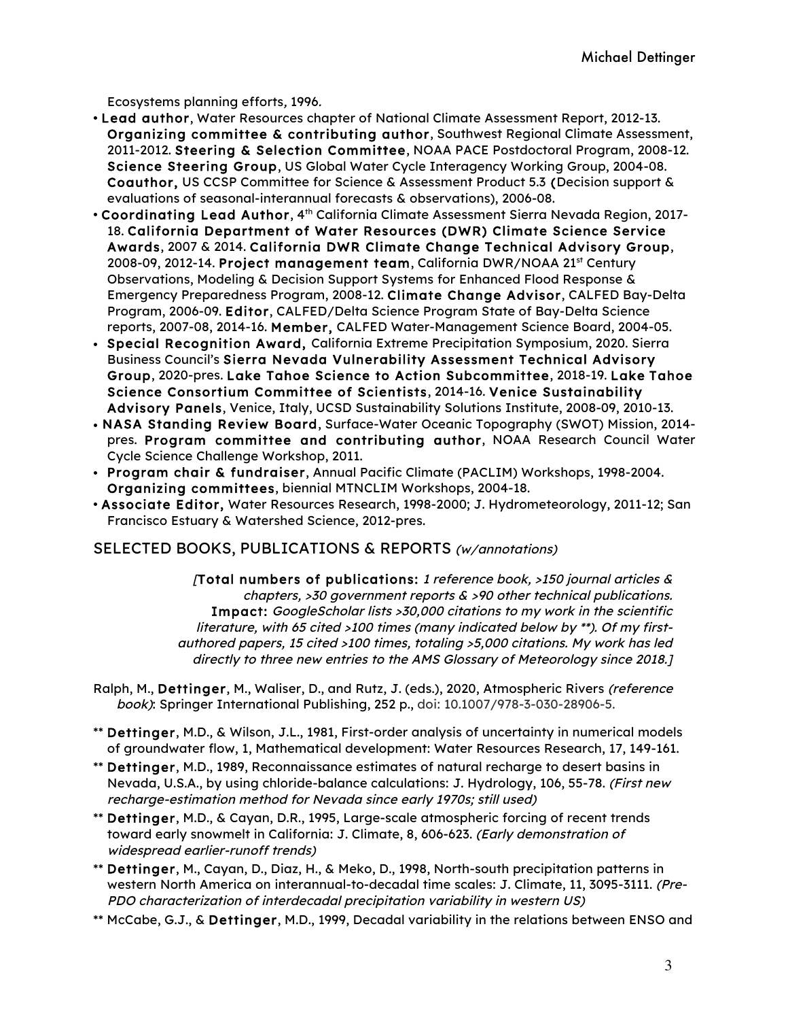Ecosystems planning efforts, 1996.

- Lead author, Water Resources chapter of National Climate Assessment Report, 2012-13. Organizing committee & contributing author, Southwest Regional Climate Assessment, 2011-2012. Steering & Selection Committee, NOAA PACE Postdoctoral Program, 2008-12. Science Steering Group, US Global Water Cycle Interagency Working Group, 2004-08. Coauthor, US CCSP Committee for Science & Assessment Product 5.3 (Decision support & evaluations of seasonal-interannual forecasts & observations), 2006-08.
- Coordinating Lead Author,  $4<sup>th</sup>$  California Climate Assessment Sierra Nevada Region, 2017-18. California Department of Water Resources (DWR) Climate Science Service Awards, 2007 & 2014. California DWR Climate Change Technical Advisory Group, 2008-09, 2012-14. Project management team, California DWR/NOAA 21st Century Observations, Modeling & Decision Support Systems for Enhanced Flood Response & Emergency Preparedness Program, 2008-12. Climate Change Advisor, CALFED Bay-Delta Program, 2006-09. Editor, CALFED/Delta Science Program State of Bay-Delta Science reports, 2007-08, 2014-16. Member, CALFED Water-Management Science Board, 2004-05.
- Special Recognition Award, California Extreme Precipitation Symposium, 2020. Sierra Business Council's Sierra Nevada Vulnerability Assessment Technical Advisory Group, 2020-pres. Lake Tahoe Science to Action Subcommittee, 2018-19. Lake Tahoe Science Consortium Committee of Scientists, 2014-16. Venice Sustainability Advisory Panels, Venice, Italy, UCSD Sustainability Solutions Institute, 2008-09, 2010-13.
- NASA Standing Review Board, Surface-Water Oceanic Topography (SWOT) Mission, 2014 pres. Program committee and contributing author, NOAA Research Council Water Cycle Science Challenge Workshop, 2011.
- Program chair & fundraiser, Annual Pacific Climate (PACLIM) Workshops, 1998-2004. Organizing committees, biennial MTNCLIM Workshops, 2004-18.
- Associate Editor, Water Resources Research, 1998-2000; J. Hydrometeorology, 2011-12; San Francisco Estuary & Watershed Science, 2012-pres.

SELECTED BOOKS, PUBLICATIONS & REPORTS (w/annotations)

(Total numbers of publications: 1 reference book,  $>150$  journal articles & chapters,  $>30$  government reports  $\&$   $>90$  other technical publications. Impact: GoogleScholar lists >30,000 citations to my work in the scientific literature, with 65 cited >100 times (many indicated below by \*\*). Of my firstauthored papers, 15 cited >100 times, totaling >5,000 citations. My work has led directly to three new entries to the AMS Glossary of Meteorology since 2018.]

Ralph, M., Dettinger, M., Waliser, D., and Rutz, J. (eds.), 2020, Atmospheric Rivers (reference book): Springer International Publishing, 252 p., doi: 10.1007/978-3-030-28906-5.

- \*\* Dettinger, M.D., & Wilson, J.L., 1981, First-order analysis of uncertainty in numerical models of groundwater flow, 1, Mathematical development: Water Resources Research, 17, 149-161.
- \*\* Dettinger, M.D., 1989, Reconnaissance estimates of natural recharge to desert basins in Nevada, U.S.A., by using chloride-balance calculations: J. Hydrology, 106, 55-78. (First new recharge-estimation method for Nevada since early 1970s; still used)
- \*\* Dettinger, M.D., & Cayan, D.R., 1995, Large-scale atmospheric forcing of recent trends toward early snowmelt in California: J. Climate, 8, 606-623. (Early demonstration of widespread earlier-runoff trends)
- \*\* Dettinger, M., Cayan, D., Diaz, H., & Meko, D., 1998, North-south precipitation patterns in western North America on interannual-to-decadal time scales: J. Climate, 11, 3095-3111. (Pre-PDO characterization of interdecadal precipitation variability in western US)
- \*\* McCabe, G.J., & Dettinger, M.D., 1999, Decadal variability in the relations between ENSO and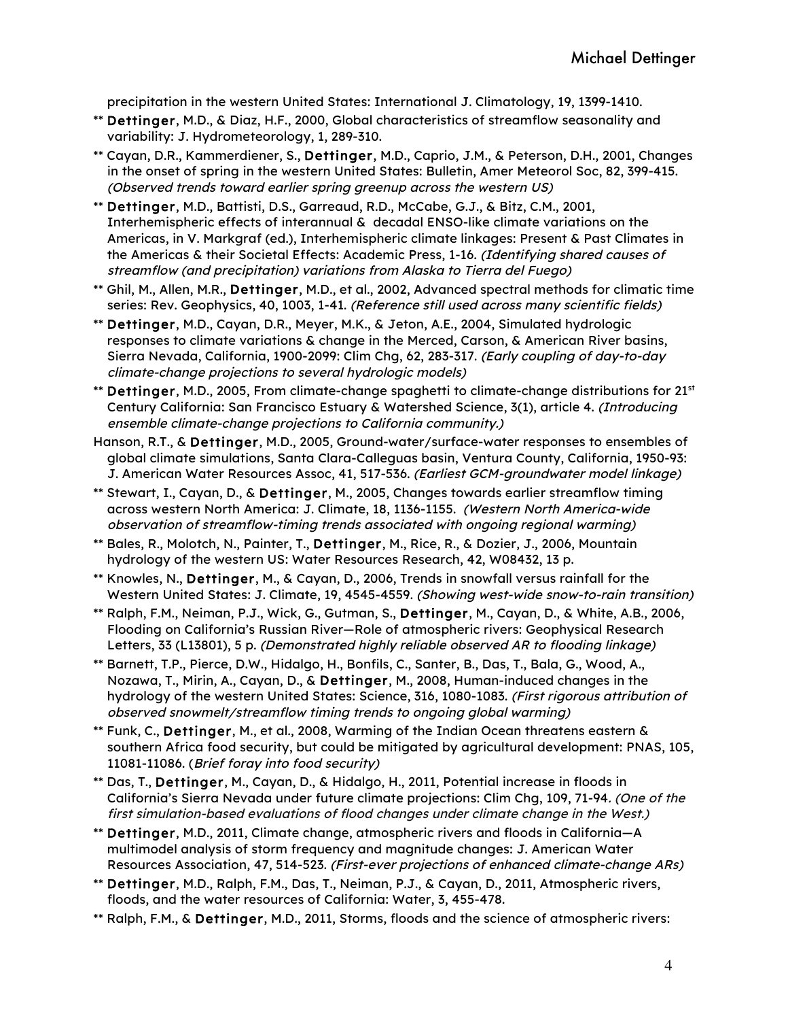precipitation in the western United States: International J. Climatology, 19, 1399-1410.

- \*\* Dettinger, M.D., & Diaz, H.F., 2000, Global characteristics of streamflow seasonality and variability: J. Hydrometeorology, 1, 289-310.
- \*\* Cayan, D.R., Kammerdiener, S., Dettinger, M.D., Caprio, J.M., & Peterson, D.H., 2001, Changes in the onset of spring in the western United States: Bulletin, Amer Meteorol Soc, 82, 399-415. (Observed trends toward earlier spring greenup across the western US)
- \*\* Dettinger, M.D., Battisti, D.S., Garreaud, R.D., McCabe, G.J., & Bitz, C.M., 2001, Interhemispheric effects of interannual & decadal ENSO-like climate variations on the Americas, in V. Markgraf (ed.), Interhemispheric climate linkages: Present & Past Climates in the Americas & their Societal Effects: Academic Press, 1-16. (Identifying shared causes of streamflow (and precipitation) variations from Alaska to Tierra del Fuego)
- \*\* Ghil, M., Allen, M.R., Dettinger, M.D., et al., 2002, Advanced spectral methods for climatic time series: Rev. Geophysics, 40, 1003, 1-41. (Reference still used across many scientific fields)
- \*\* Dettinger, M.D., Cayan, D.R., Meyer, M.K., & Jeton, A.E., 2004, Simulated hydrologic responses to climate variations & change in the Merced, Carson, & American River basins, Sierra Nevada, California, 1900-2099: Clim Chg, 62, 283-317. (Early coupling of day-to-day climate-change projections to several hydrologic models)
- \*\* Dettinger, M.D., 2005, From climate-change spaghetti to climate-change distributions for 21<sup>st</sup> Century California: San Francisco Estuary & Watershed Science, 3(1), article 4. (Introducing ensemble climate-change projections to California community.)
- Hanson, R.T., & Dettinger, M.D., 2005, Ground-water/surface-water responses to ensembles of global climate simulations, Santa Clara-Calleguas basin, Ventura County, California, 1950-93: J. American Water Resources Assoc, 41, 517-536. (Earliest GCM-groundwater model linkage)
- \*\* Stewart, I., Cayan, D., & Dettinger, M., 2005, Changes towards earlier streamflow timing across western North America: J. Climate, 18, 1136-1155. (Western North America-wide observation of streamflow-timing trends associated with ongoing regional warming)
- \*\* Bales, R., Molotch, N., Painter, T., Dettinger, M., Rice, R., & Dozier, J., 2006, Mountain hydrology of the western US: Water Resources Research, 42, W08432, 13 p.
- \*\* Knowles, N., Dettinger, M., & Cayan, D., 2006, Trends in snowfall versus rainfall for the Western United States: J. Climate, 19, 4545-4559. (Showing west-wide snow-to-rain transition)
- \*\* Ralph, F.M., Neiman, P.J., Wick, G., Gutman, S., Dettinger, M., Cayan, D., & White, A.B., 2006, Flooding on California's Russian River—Role of atmospheric rivers: Geophysical Research Letters, 33 (L13801), 5 p. (Demonstrated highly reliable observed AR to flooding linkage)
- \*\* Barnett, T.P., Pierce, D.W., Hidalgo, H., Bonfils, C., Santer, B., Das, T., Bala, G., Wood, A., Nozawa, T., Mirin, A., Cayan, D., & Dettinger, M., 2008, Human-induced changes in the hydrology of the western United States: Science, 316, 1080-1083. (First rigorous attribution of observed snowmelt/streamflow timing trends to ongoing global warming)
- \*\* Funk, C., Dettinger, M., et al., 2008, Warming of the Indian Ocean threatens eastern & southern Africa food security, but could be mitigated by agricultural development: PNAS, 105, 11081-11086. (Brief foray into food security)
- \*\* Das, T., Dettinger, M., Cayan, D., & Hidalgo, H., 2011, Potential increase in floods in California's Sierra Nevada under future climate projections: Clim Chg, 109, 71-94. (One of the first simulation-based evaluations of flood changes under climate change in the West.)
- \*\* Dettinger, M.D., 2011, Climate change, atmospheric rivers and floods in California—A multimodel analysis of storm frequency and magnitude changes: J. American Water Resources Association, 47, 514-523. (First-ever projections of enhanced climate-change ARs)
- \*\* Dettinger, M.D., Ralph, F.M., Das, T., Neiman, P.J., & Cayan, D., 2011, Atmospheric rivers, floods, and the water resources of California: Water, 3, 455-478.
- \*\* Ralph, F.M., & Dettinger, M.D., 2011, Storms, floods and the science of atmospheric rivers: